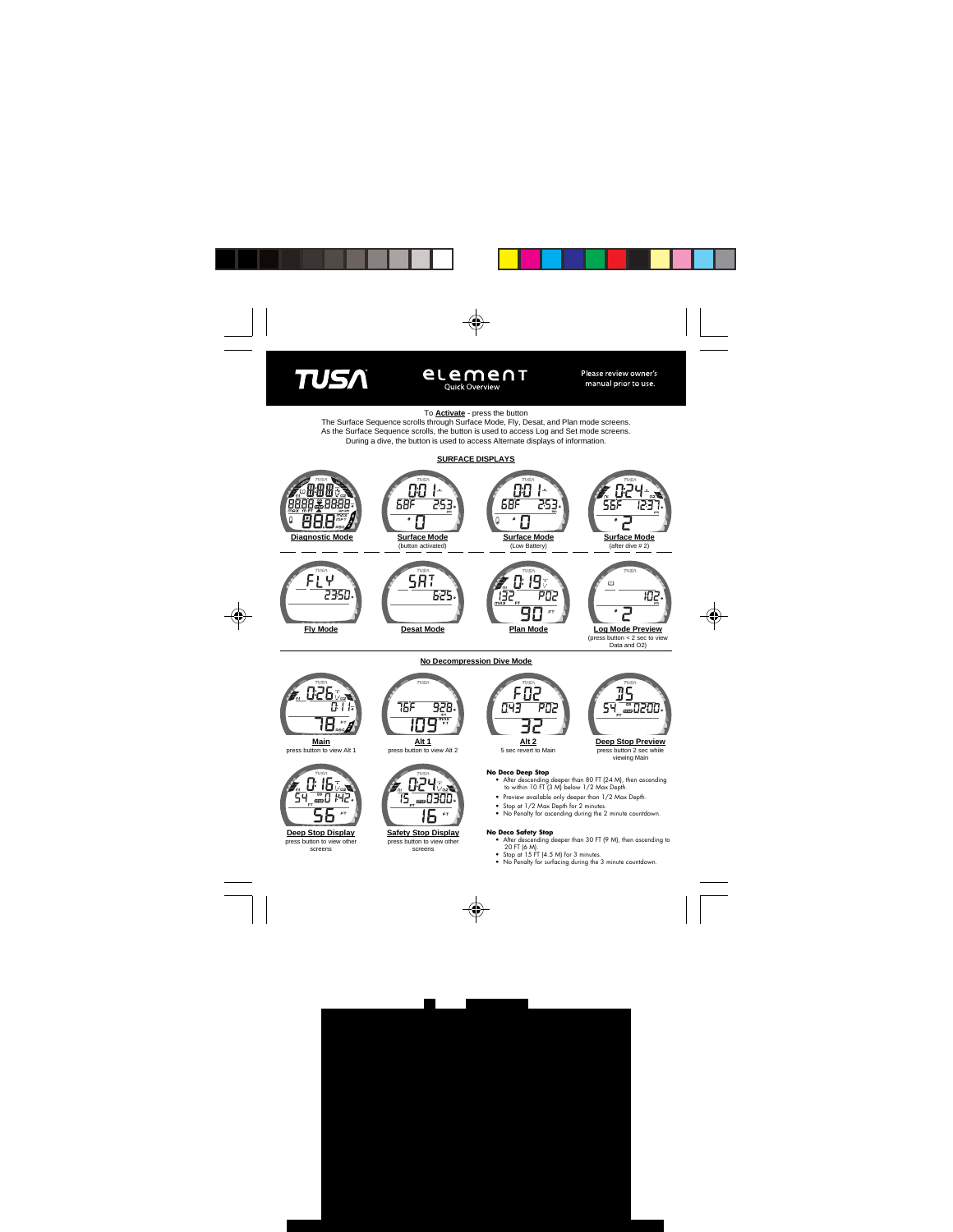



## To **Activate** - press the button

The Surface Sequence scrolls through Surface Mode, Fly, Desat, and Plan mode screens. As the Surface Sequence scrolls, the button is used to access Log and Set mode screens. During a dive, the button is used to access Alternate displays of information.



**No Decompression Dive Mode**

**Main** press button to view Alt 1



press button to view other screens

|     | TUSA |                         |
|-----|------|-------------------------|
| 15F |      | 78.,<br>$\overline{AB}$ |
|     |      | nex<br>FT               |

**Alt 1** press button to view Alt 2



**Safety Stop Display** press button to view other

screens



5 sec revert to Main

# **Deep Stop Preview**

press button 2 sec while viewing Main

### **No Deco Deep Stop**

- After descending deeper than 80 FT (24 M), then ascending to within 10 FT (3 M) below 1/2 Max Depth.
- Preview available only deeper than 1/2 Max Depth.
- Stop at 1/2 Max Depth for 2 minutes.
- No Penalty for ascending during the 2 minute countdown.

#### **No Deco Safety Stop**

- After descending deeper than 30 FT (9 M), then ascending to 20 FT (6 M).
- Stop at 15 FT (4.5 M) for 3 minutes.
- No Penalty for surfacing during the 3 minute countdown.